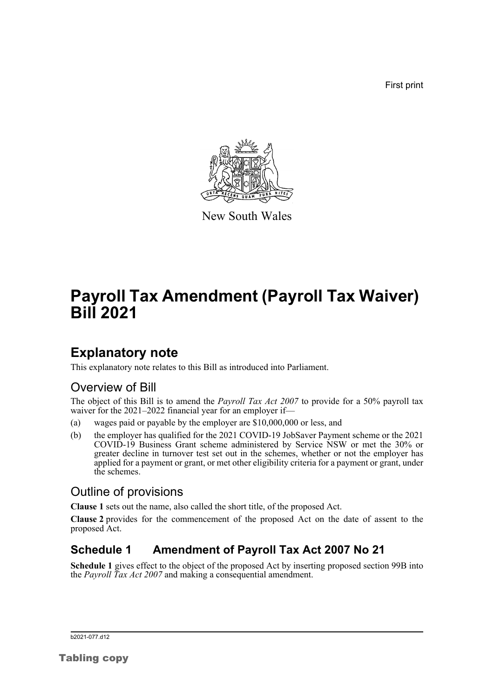First print



New South Wales

# **Payroll Tax Amendment (Payroll Tax Waiver) Bill 2021**

### **Explanatory note**

This explanatory note relates to this Bill as introduced into Parliament.

### Overview of Bill

The object of this Bill is to amend the *Payroll Tax Act 2007* to provide for a 50% payroll tax waiver for the 2021–2022 financial year for an employer if—

- (a) wages paid or payable by the employer are \$10,000,000 or less, and
- (b) the employer has qualified for the 2021 COVID-19 JobSaver Payment scheme or the 2021 COVID-19 Business Grant scheme administered by Service NSW or met the 30% or greater decline in turnover test set out in the schemes, whether or not the employer has applied for a payment or grant, or met other eligibility criteria for a payment or grant, under the schemes.

#### Outline of provisions

**Clause 1** sets out the name, also called the short title, of the proposed Act.

**Clause 2** provides for the commencement of the proposed Act on the date of assent to the proposed Act.

### **Schedule 1 Amendment of Payroll Tax Act 2007 No 21**

**Schedule 1** gives effect to the object of the proposed Act by inserting proposed section 99B into the *Payroll Tax Act 2007* and making a consequential amendment.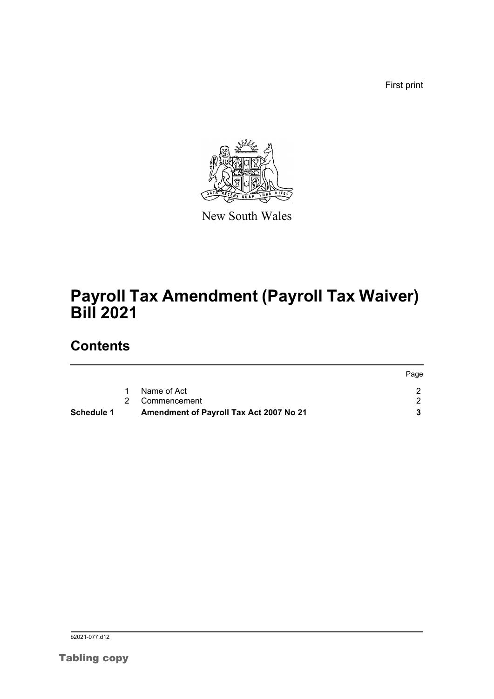First print



New South Wales

# **Payroll Tax Amendment (Payroll Tax Waiver) Bill 2021**

## **Contents**

|            |   |                                         | Page |
|------------|---|-----------------------------------------|------|
|            | 1 | Name of Act                             |      |
|            |   | 2 Commencement                          |      |
| Schedule 1 |   | Amendment of Payroll Tax Act 2007 No 21 |      |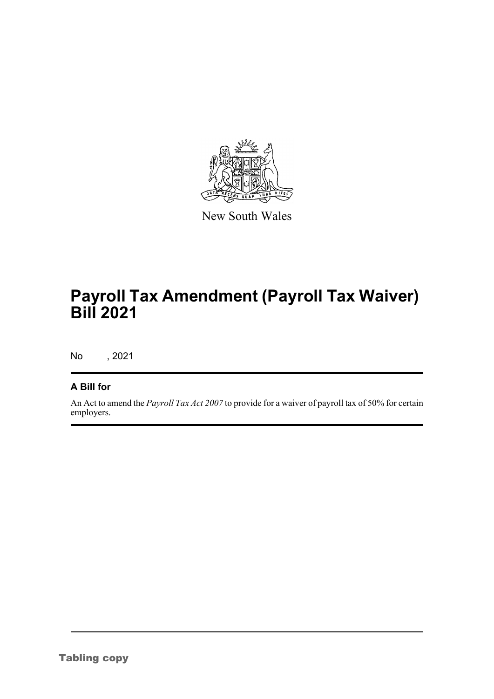

New South Wales

# **Payroll Tax Amendment (Payroll Tax Waiver) Bill 2021**

No , 2021

#### **A Bill for**

An Act to amend the *Payroll Tax Act 2007* to provide for a waiver of payroll tax of 50% for certain employers.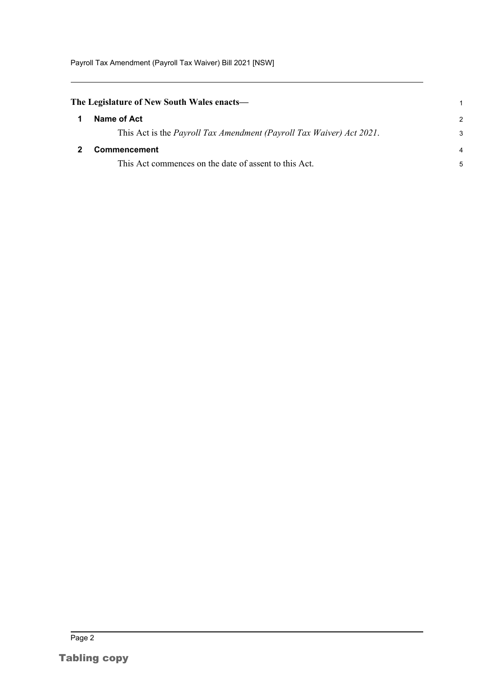Payroll Tax Amendment (Payroll Tax Waiver) Bill 2021 [NSW]

<span id="page-3-1"></span><span id="page-3-0"></span>

| The Legislature of New South Wales enacts— |                                                                              |               |
|--------------------------------------------|------------------------------------------------------------------------------|---------------|
|                                            | Name of Act                                                                  | $\mathcal{P}$ |
|                                            | This Act is the <i>Payroll Tax Amendment (Payroll Tax Waiver) Act 2021</i> . | 3             |
|                                            | Commencement                                                                 | 4             |
|                                            | This Act commences on the date of assent to this Act.                        | 5             |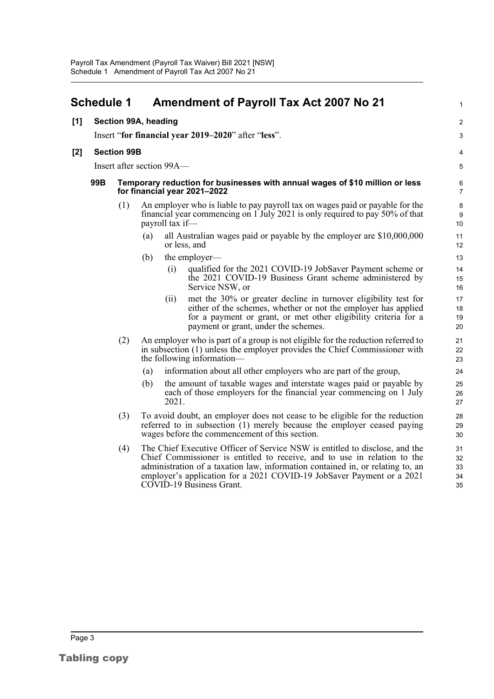<span id="page-4-0"></span>

|       | <b>Schedule 1</b>                                   |                           |                                                                                                              |                 | <b>Amendment of Payroll Tax Act 2007 No 21</b>                                                                                                                                                                                                                                                                                                 | 1                          |  |
|-------|-----------------------------------------------------|---------------------------|--------------------------------------------------------------------------------------------------------------|-----------------|------------------------------------------------------------------------------------------------------------------------------------------------------------------------------------------------------------------------------------------------------------------------------------------------------------------------------------------------|----------------------------|--|
| [1]   |                                                     | Section 99A, heading      |                                                                                                              |                 |                                                                                                                                                                                                                                                                                                                                                | $\overline{2}$             |  |
|       | Insert "for financial year 2019–2020" after "less". |                           |                                                                                                              |                 |                                                                                                                                                                                                                                                                                                                                                |                            |  |
| $[2]$ | <b>Section 99B</b>                                  |                           |                                                                                                              |                 |                                                                                                                                                                                                                                                                                                                                                |                            |  |
|       |                                                     | Insert after section 99A- |                                                                                                              |                 |                                                                                                                                                                                                                                                                                                                                                |                            |  |
|       | 99B                                                 |                           | Temporary reduction for businesses with annual wages of \$10 million or less<br>for financial year 2021-2022 |                 |                                                                                                                                                                                                                                                                                                                                                |                            |  |
|       |                                                     | (1)                       |                                                                                                              | payroll tax if— | An employer who is liable to pay payroll tax on wages paid or payable for the<br>financial year commencing on 1 July 2021 is only required to pay 50% of that                                                                                                                                                                                  | 8<br>9<br>10               |  |
|       |                                                     |                           | (a)                                                                                                          |                 | all Australian wages paid or payable by the employer are $$10,000,000$<br>or less, and                                                                                                                                                                                                                                                         | 11<br>12                   |  |
|       |                                                     |                           | (b)                                                                                                          |                 | the employer-                                                                                                                                                                                                                                                                                                                                  | 13                         |  |
|       |                                                     |                           |                                                                                                              | (i)             | qualified for the 2021 COVID-19 JobSaver Payment scheme or<br>the 2021 COVID-19 Business Grant scheme administered by<br>Service NSW, or                                                                                                                                                                                                       | 14<br>15<br>16             |  |
|       |                                                     |                           |                                                                                                              | (ii)            | met the 30% or greater decline in turnover eligibility test for<br>either of the schemes, whether or not the employer has applied<br>for a payment or grant, or met other eligibility criteria for a<br>payment or grant, under the schemes.                                                                                                   | 17<br>18<br>19<br>20       |  |
|       |                                                     | (2)                       |                                                                                                              |                 | An employer who is part of a group is not eligible for the reduction referred to<br>in subsection (1) unless the employer provides the Chief Commissioner with<br>the following information—                                                                                                                                                   | 21<br>22<br>23             |  |
|       |                                                     |                           | (a)                                                                                                          |                 | information about all other employers who are part of the group,                                                                                                                                                                                                                                                                               | 24                         |  |
|       |                                                     |                           | (b)                                                                                                          | 2021.           | the amount of taxable wages and interstate wages paid or payable by<br>each of those employers for the financial year commencing on 1 July                                                                                                                                                                                                     | 25<br>26<br>27             |  |
|       |                                                     | (3)                       |                                                                                                              |                 | To avoid doubt, an employer does not cease to be eligible for the reduction<br>referred to in subsection (1) merely because the employer ceased paying<br>wages before the commencement of this section.                                                                                                                                       | 28<br>29<br>30             |  |
|       |                                                     | (4)                       |                                                                                                              |                 | The Chief Executive Officer of Service NSW is entitled to disclose, and the<br>Chief Commissioner is entitled to receive, and to use in relation to the<br>administration of a taxation law, information contained in, or relating to, an<br>employer's application for a 2021 COVID-19 JobSaver Payment or a 2021<br>COVID-19 Business Grant. | 31<br>32<br>33<br>34<br>35 |  |